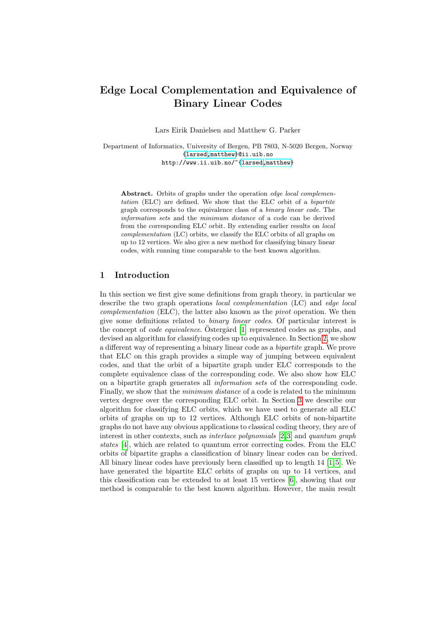# Edge Local Complementation and Equivalence of Binary Linear Codes

Lars Eirik Danielsen and Matthew G. Parker

Department of Informatics, University of Bergen, PB 7803, N-5020 Bergen, Norway {larsed,matthew}@ii.uib.no http://www.ii.uib.no/~{larsed,matthew}

Abstract. Orbits of graphs under the operation *edge local complemen*tation (ELC) are defined. We show that the ELC orbit of a bipartite graph corresponds to the equivalence class of a binary linear code. The information sets and the minimum distance of a code can be derived from the corresponding ELC orbit. By extending earlier results on local complementation (LC) orbits, we classify the ELC orbits of all graphs on up to 12 vertices. We also give a new method for classifying binary linear codes, with running time comparable to the best known algorithm.

## 1 Introduction

In this section we first give some definitions fro[m](#page-4-0) graph theory, in particular we describe the two graph operations local complementation (LC) and edge local complementation (ELC), the latter also known as the pivot operation. We then give some definitions related to binary linear codes. Of particular interest is the concept of *code equivalence*. Ostergård  $[1]$  represented codes as graphs, and devised an algorithm for classifying codes up to equivalence. In Section 2, we show a different way of representing a binary linear code as a bipartite graph. We prove that ELC on this graph provides a sim[ple](#page-6-0) way of jumping between equivalent codes, and that the orbit of a bipartite graph under ELC corresponds to the complete equivalence class of the corresponding code. We also show how ELC on a bipartite graph generates all information sets of the corresponding code. Finally, we show that the *minimu[m d](#page-9-0)[is](#page-9-1)tance* of a code is related to the minimum vertex degree over the corresponding ELC orbit. In Section 3 we describe our algorithm for classifying ELC orbits, which we have used to generate all ELC orbits of graphs on up to 12 vertices. Althoug[h](#page-8-0) [EL](#page-9-2)C orbits of non-bipartite graphs do not have any obvious applications to classical coding theory, they are of interest in other contexts, such as int[erla](#page-9-3)ce polynomials [2,3] and quantum graph states [4], which are related to quantum error correcting codes. From the ELC orbits of bipartite graphs a classification of binary linear codes can be derived. All binary linear codes have previously been classified up to length  $14$  [1,5]. We have generated the bipartite ELC orbits of graphs on up to 14 vertices, and this classification can be extended to at least 15 vertices [6], showing that our method is comparable to the best known algorithm. However, the main result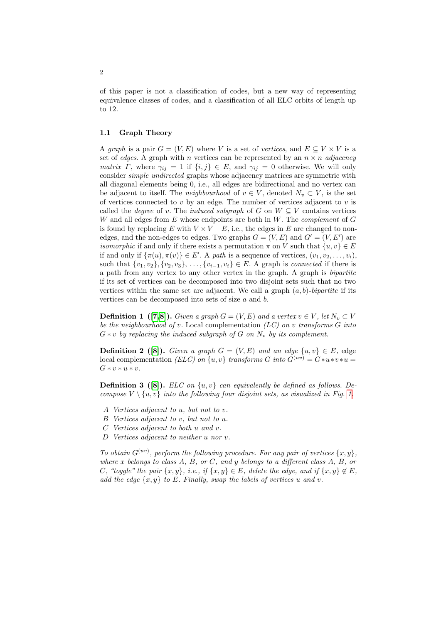of this paper is not a classification of codes, but a new way of representing equivalence classes of codes, and a classification of all ELC orbits of length up to 12.

# 1.1 Graph Theory

A graph is a pair  $G = (V, E)$  where V is a set of vertices, and  $E \subseteq V \times V$  is a set of edges. A graph with n vertices can be represented by an  $n \times n$  adjacency matrix Γ, where  $\gamma_{ij} = 1$  if  $\{i, j\} \in E$ , and  $\gamma_{ij} = 0$  otherwise. We will only consider simple undirected graphs whose adjacency matrices are symmetric with all diagonal elements being 0, i.e., all edges are bidirectional and no vertex can be adjacent to itself. The *neighbourhood* of  $v \in V$ , denoted  $N_v \subset V$ , is the set of vertices connected to  $v$  by an edge. The number of vertices adjacent to  $v$  is called the *degree* of v. The *induced subgraph* of G on  $W \subseteq V$  contains vertices W and all edges from  $E$  whose endpoints are both in  $W$ . The *complement* of  $G$ is found by replacing E with  $V \times V - E$ , i.e., the edges in E are changed to nonedges, and the non-edges to edges. Two graphs  $G = (V, E)$  and  $G' = (V, E')$  are *isomorphic* if and only if there exists a permutation  $\pi$  on V such that  $\{u, v\} \in E$ if and only if  $\{\pi(u), \pi(v)\}\in E'$ . A path is a sequence of vertices,  $(v_1, v_2, \ldots, v_i)$ , such that  $\{v_1, v_2\}, \{v_2, v_3\}, \ldots, \{v_{i-1}, v_i\} \in E$ . A graph is *connected* if there is a path from any vertex to any other vertex in the graph. A graph is bipartite if its set of vertices can be decomposed into two disjoint sets such that no two vertices within the same set are adjacent. We call a graph  $(a, b)$ -bipartite if its vertices can be decomposed into sets of size a and b.

<span id="page-1-0"></span>**Definition 1** ([7,8]). Given a graph  $G = (V, E)$  and a vertex  $v \in V$ , let  $N_v \subset V$ be the neighbourhood of v. Local complementation  $(LC)$  on v transforms G into  $G * v$  by replacing the induced subgraph of G on  $N_v$  by its complement.

**Defi[n](#page-2-0)ition 2** ([8]). Given a graph  $G = (V, E)$  and an edge  $\{u, v\} \in E$ , edge local complementation (ELC) on  $\{u, v\}$  transforms G into  $G^{(uv)} = G*u*v*u =$  $G * v * u * v.$ 

**Definition 3** ([8]). ELC on  $\{u, v\}$  can equivalently be defined as follows. Decompose  $V \setminus \{u, v\}$  into the following four disjoint sets, as visualized in Fig. 1.

- A Vertices adjacent to u, but not to v.
- B Vertices adjacent to v, but not to u.
- C Vertices adjacent to both u and v.
- D Vertices adjacent to neither u nor v.

To obtain  $G^{(uv)}$ , perform the following procedure. For any pair of vertices  $\{x, y\}$ , where  $x$  belongs to class  $A, B, or C, and y$  belongs to a different class  $A, B, or$ C, "toggle" the pair  $\{x, y\}$ , i.e., if  $\{x, y\} \in E$ , delete the edge, and if  $\{x, y\} \notin E$ , add the edge  $\{x, y\}$  to E. Finally, swap the labels of vertices u and v.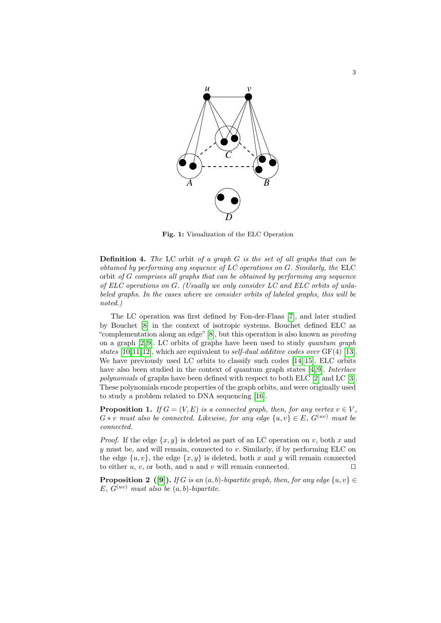

<span id="page-2-0"></span>Fig. 1: Visualization of the ELC Operation

**Definition 4.** The LC orbit of a graph  $G$  is the set of all graphs that can be obtained by performing any sequence [of](#page-9-4) LC operations on G. Similarly, the ELC orbit of G comprises all graphs that can be obtained by performing any sequence of ELC oper[at](#page-9-5)ions on G. (Usually we only consider LC and ELC orbits of unlabeled graphs. In the cases where we consider orbits of labeled graphs, this will be noted.)

The LC operation was first define[d by](#page-9-6) [Fo](#page-9-7)n-der-Flaas [7], and later studied by Bouchet [8] in the context of isotropic [s](#page-9-8)[ys](#page-9-9)tems. Bouchet defined ELC as "complementation along an edge"[8], but this [op](#page-9-0)eration i[s a](#page-9-1)lso known as pivoting on a graph  $[2, 9]$ . LC orbits of graphs have been used to study quantum graph states  $[10, 11, 12]$ , which are [equ](#page-9-10)ivalent to self-dual additive codes over  $GF(4)$  [13]. We have previously used LC orbits to classify such codes [14, 15]. ELC orbits have also been studied in the context of quantum graph states [4, 9]. *Interlace* polynomials of graphs have been defined with respect to both ELC [2] and LC [3]. These polynomials encode properties of the graph orbits, and were originally used to study a problem related to DNA sequencing [16].

**Proposition 1.** If  $G = (V, E)$  is a connected graph, then, for any vertex  $v \in V$ .  $G * v$  must also be connected. Likewise, for any edge  $\{u, v\} \in E$ ,  $G^{(uv)}$  must be connected.

*Proof.* If the edge  $\{x, y\}$  is deleted as part of an LC operation on v, both x and  $y$  must be, and will remain, connected to  $v$ . Similarly, if by performing ELC on the edge  $\{u, v\}$ , the edge  $\{x, y\}$  is deleted, both x and y will remain connected to either u, v, or both, and u and v will remain connected.  $\square$ 

**Proposition 2** ([9]). If G is an  $(a, b)$ -bipartite graph, then, for any edge  $\{u, v\} \in$ E,  $G^{(uv)}$  must also be  $(a, b)$ -bipartite.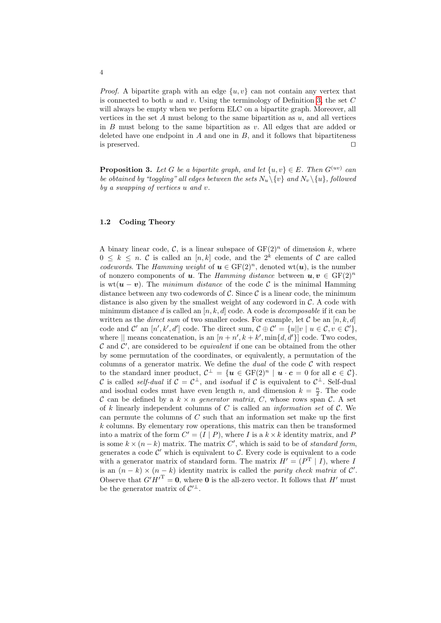<span id="page-3-0"></span>*Proof.* A bipartite graph with an edge  $\{u, v\}$  can not contain any vertex that is connected to both  $u$  and  $v$ . Using the terminology of Definition 3, the set  $C$ will always be empty when we perform ELC on a bipartite graph. Moreover, all vertices in the set  $A$  must belong to the same bipartition as  $u$ , and all vertices in  $B$  must belong to the same bipartition as v. All edges that are added or deleted have one endpoint in  $A$  and one in  $B$ , and it follows that bipartiteness is preserved.  $\Box$ 

<span id="page-3-1"></span>**Proposition 3.** Let G be a bipartite graph, and let  $\{u, v\} \in E$ . Then  $G^{(uv)}$  can be obtained by "toggling" all edges between the sets  $N_u \setminus \{v\}$  and  $N_v \setminus \{u\}$ , followed by a swapping of vertices u and v.

# 1.2 Coding Theory

A binary linear code, C, is a linear subspace of  $GF(2)^n$  of dimension k, where  $0 \leq k \leq n$ . C is called an  $[n, k]$  code, and the  $2^k$  elements of C are called codewords. The Hamming weight of  $u \in GF(2)^n$ , denoted wt $(u)$ , is the number of nonzero components of u. The Hamming distance between  $u, v \in \mathrm{GF}(2)^n$ is wt $(u - v)$ . The minimum distance of the code C is the minimal Hamming distance between any two codewords of  $\mathcal{C}$ . Since  $\mathcal{C}$  is a linear code, the minimum distance is also given by the smallest weight of any codeword in  $C$ . A code with minimum distance d is called an  $[n, k, d]$  code. A code is *decomposable* if it can be written as the *direct sum* of two smaller codes. For example, let C be an  $[n, k, d]$ code and  $\mathcal{C}'$  an  $[n', k', d']$  code. The direct sum,  $\mathcal{C} \oplus \mathcal{C}' = \{u||v \mid u \in \mathcal{C}, v \in \mathcal{C}'\},\$ where  $\|$  means concatenation, is an  $[n + n', k + k', \min\{d, d'\}]$  code. Two codes,  $\mathcal C$  and  $\mathcal C'$ , are considered to be *equivalent* if one can be obtained from the other by some permutation of the coordinates, or equivalently, a permutation of the columns of a generator matrix. We define the *dual* of the code  $C$  with respect to the standard inner product,  $\mathcal{C}^{\perp} = \{ \mathbf{u} \in \mathrm{GF}(2)^n \mid \mathbf{u} \cdot \mathbf{c} = 0 \text{ for all } \mathbf{c} \in \mathcal{C} \}.$ C is called *self-dual* if  $C = C^{\perp}$ , and *isodual* if C is equivalent to  $C^{\perp}$ . Self-dual and isodual codes must have even length n, and dimension  $k = \frac{n}{2}$ . The code C can be defined by a  $k \times n$  generator matrix, C, whose rows span C. A set of k linearly independent columns of  $C$  is called an *information set* of  $C$ . We can permute the columns of  $C$  such that an information set make up the first  $k$  columns. By elementary row operations, this matrix can then be transformed into a matrix of the form  $C' = (I | P)$ , where I is a  $k \times k$  identity matrix, and F is some  $k \times (n - k)$  matrix. The matrix C', which is said to be of *standard form*, generates a code  $\mathcal{C}'$  which is equivalent to  $\mathcal{C}$ . Every code is equivalent to a code with a generator matrix of standard form. The matrix  $H' = (P^T | I)$ , where I is an  $(n - k) \times (n - k)$  identity matrix is called the parity check matrix of C'. Observe that  $G'H'^T = 0$ , where 0 is the all-zero vector. It follows that H' must be the generator matrix of  $\mathcal{C}^{\prime \perp}$ .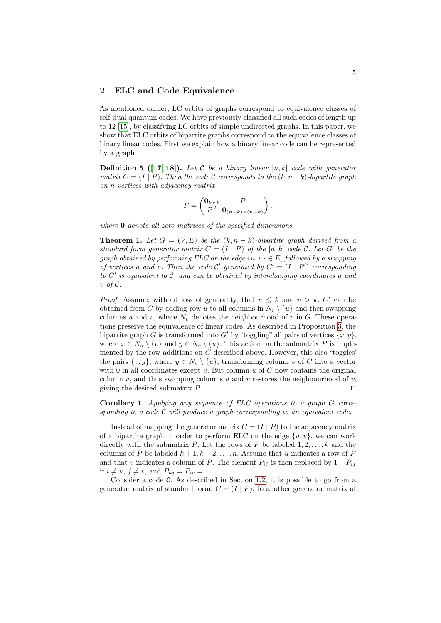## <span id="page-4-0"></span>2 ELC and Code Equivalence

As mentioned earlier, LC orbits of graphs correspond to equivalence classes of [sel](#page-9-11)f-dual quantum codes. We have previously classified all such codes of length up to 12 [15], by classifying LC orbits of simple undirected graphs. In this paper, we show that ELC orbits of bipartite graphs correspond to the equivalence classes of binary linear codes. First we explain how a binary linear code can be represented by a graph.

<span id="page-4-1"></span>**Definition 5** ([17, 18]). Let C be a binary linear  $[n, k]$  code with generator matrix  $C = (I | P)$ . Then the code C corresponds to the  $(k, n-k)$ -bipartite graph on n vertices with adjacency matrix

$$
\Gamma = \begin{pmatrix} \mathbf{0}_{k \times k} & P \\ P^T & \mathbf{0}_{(n-k) \times (n-k)} \end{pmatrix},
$$

where **0** denote all-zero matrices of the specified dimensions.

**Theorem 1.** Let  $G = (V, E)$  be the  $(k, n - k)$ -bipartite graph derived from a standard form generator matrix  $C = (I | P)$  of the  $[n, k]$  code C. Let G' be the graph obtained by performing ELC on the edge  $\{u, v\} \in E$ , followed by a swapping of vertices u and v. Then the code  $\mathcal{C}'$  generated by  $C' = (I | P')$  corresponding to  $G'$  is equivalent to  $\mathcal{C}$ , and can be obtained by inte[rch](#page-3-0)anging coordinates u and  $v$  of  $\mathcal{C}.$ 

*Proof.* Assume, without loss of generality, that  $u \leq k$  and  $v > k$ . C' can be obtained from C by adding row u to all columns in  $N_v \setminus \{u\}$  and then swapping columns u and v, where  $N_v$  denotes the neighbourhood of v in G. These operations preserve the equivalence of linear codes. As described in Proposition 3, the bipartite graph G is transformed into G' by "toggling" all pairs of vertices  $\{x, y\}$ , where  $x \in N_u \setminus \{v\}$  and  $y \in N_v \setminus \{u\}$ . This action on the submatrix P is implemented by the row additions on  $C$  described above. However, this also "toggles" the pairs  $\{v, y\}$ , where  $y \in N_v \setminus \{u\}$ , transforming column v of C into a vector with 0 in all coordinates except  $u$ . But column  $u$  of  $C$  now contains the original column v, and thus swapping columns u and v restores the neighbourhood of v, giving the desired submatrix  $P$ .

Corollary 1. Applying any sequence of ELC operations to a graph G corresponding to a code  $C$  will produce a graph corresponding to an equivalent code.

Instead of mapping the generator matrix  $C = (I | P)$  to the adjacency matrix of a bipartite graph in or[der t](#page-3-1)o perform ELC on the edge  $\{u, v\}$ , we can work directly with the submatrix P. Let the rows of P be labeled  $1, 2, \ldots, k$  and the columns of P be labeled  $k + 1, k + 2, \ldots, n$ . Assume that u indicates a row of P and that v indicates a column of P. The element  $P_{ij}$  is then replaced by  $1 - P_{ij}$ if  $i \neq u$ ,  $j \neq v$ , and  $P_{uj} = P_{iv} = 1$ .

Consider a code  $\mathcal{C}$ . As described in Section 1.2, it is possible to go from a generator matrix of standard form,  $C = (I | P)$ , to another generator matrix of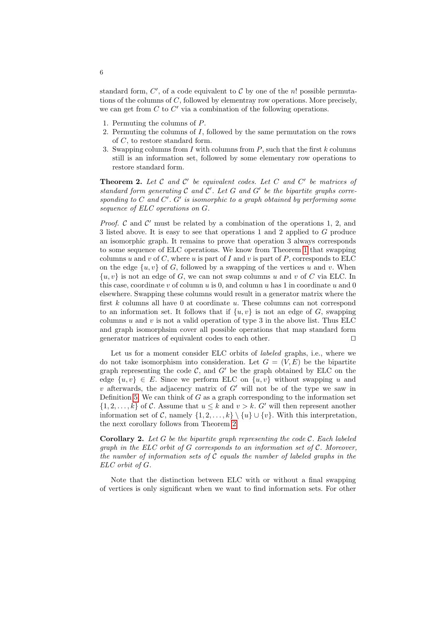standard form,  $C'$ , of a code equivalent to  $C$  by one of the n! possible permutations of the columns of C, followed by elementray row operations. More precisely, we can get from  $C$  to  $C'$  via a combination of the following operations.

- 1. Permuting the columns of P.
- <span id="page-5-0"></span>2. Permuting the columns of I, followed by the same permutation on the rows of  $C$ , to restore standard form.
- 3. Swapping columns from  $I$  with columns from  $P$ , such that the first  $k$  columns still is an information set, followed by some elementary row operations to restore standard form.

**Theorem 2.** Let  $C$  and  $C'$  be equivalent codes. Let  $C$  and  $C'$  be matrices of standard form generating  $C$  and  $C'$ . Let  $G$  and  $G'$  be the bipartite graphs corresponding to  $C$  and  $C'$ .  $G'$  is isomorphic t[o a](#page-4-1) graph obtained by performing some sequence of ELC operations on G.

*Proof.*  $\mathcal C$  and  $\mathcal C'$  must be related by a combination of the operations 1, 2, and 3 listed above. It is easy to see that operations 1 and 2 applied to G produce an isomorphic graph. It remains to prove that operation 3 always corresponds to some sequence of ELC operations. We know from Theorem 1 that swapping columns u and v of C, where u is part of I and v is part of P, corresponds to ELC on the edge  $\{u, v\}$  of G, followed by a swapping of the vertices u and v. When  $\{u, v\}$  is not an edge of G, we can not swap columns u and v of C via ELC. In this case, coordinate  $v$  of column  $u$  is 0, and column  $u$  has 1 in coordinate  $u$  and 0 elsewhere. Swapping these columns would result in a generator matrix where the first  $k$  columns all have 0 at coordinate  $u$ . These columns can not correspond to an information set. It follows that if  $\{u, v\}$  is not an edge of G, swapping columns  $u$  and  $v$  is not a valid operation of type 3 in the above list. Thus ELC and graph isomorphsim cover all possible operations that map standard form generator matrices of equivalent codes to each other.  $\Box$ 

Let us for a moment consider ELC orbits of labeled graphs, i.e., where we do not take isomorphism into consideration. Let  $G = (V, E)$  be the bipartite graph representing the code  $C$ , and  $G'$  be the graph obtained by ELC on the edge  $\{u, v\} \in E$ . [Sin](#page-5-0)ce we perform ELC on  $\{u, v\}$  without swapping u and v afterwards, the adjacency matrix of  $G'$  will not be of the type we saw in Definition 5. We can think of  $G$  as a graph corresponding to the information set  $\{1, 2, \ldots, k\}$  of C. Assume that  $u \leq k$  and  $v > k$ . G' will then represent another information set of C, namely  $\{1, 2, \ldots, k\} \setminus \{u\} \cup \{v\}$ . With this interpretation, the next corollary follows from Theorem 2.

**Corollary 2.** Let  $G$  be the bipartite graph representing the code  $C$ . Each labeled graph in the ELC orbit of  $G$  corresponds to an information set of  $\mathcal C$ . Moreover, the number of information sets of  $C$  equals the number of labeled graphs in the ELC orbit of G.

Note that the distinction between ELC with or without a final swapping of vertices is only significant when we want to find information sets. For other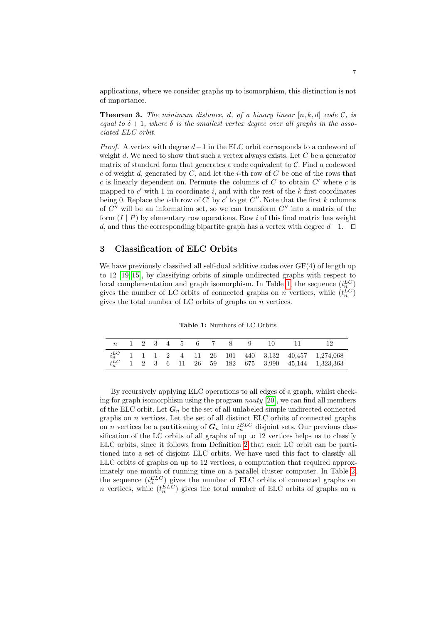applications, where we consider graphs up to isomorphism, this distinction is not of importance.

**Theorem 3.** The minimum distance, d, of a binary linear  $[n, k, d]$  code C, is equal to  $\delta + 1$ , where  $\delta$  is the smallest vertex degree over all graphs in the associated ELC orbit.

*Proof.* A vertex with degree  $d-1$  in the ELC orbit corresponds to a codeword of weight d. We need to show that such a vertex always exists. Let  $C$  be a generator matrix of standard form that generates a code equivalent to  $C$ . Find a codeword c of weight d, generated by  $C$ , and let the *i*-th row of  $C$  be one of the rows that  $c$  is linearly dependent on. Permute the columns of  $C$  to obtain  $C'$  where  $c$  is mapped to  $c'$  with 1 in coordinate i, and with the rest of the k first coordinates being 0. Replace the *i*-th row of  $C'$  by  $c'$  to get  $C''$ . Note that the first k columns of  $C''$  will be an information set, so we can transform  $C''$  into a matrix of the form  $(I | P)$  by elementary row operations. Row i of this final matrix has weight d, and thus the corresponding bipartite graph has a vertex with degree  $d-1$ .  $\Box$ 

## <span id="page-6-0"></span>3 Classification of ELC Orbits

We have previously classified all self-dual additive codes over  $GF(4)$  of length up to 12 [19, 15], by classifying orbits of simple undirected graphs with respect to local complementation and graph isomorphism. In Table 1, the sequence  $(i_n^{\mathcal{LC}})$ gives the number of LC orbits of connected graphs on n vertices, while  $(t_n^{LC})$ gives the total number of LC orbits of graphs on  $n$  vertices.

Table 1: Numbers of LC Orbits

|  |  |  |  |  | n 1 2 3 4 5 6 7 8 9 10 11 12 |                                                                                                                                                                                                 |
|--|--|--|--|--|------------------------------|-------------------------------------------------------------------------------------------------------------------------------------------------------------------------------------------------|
|  |  |  |  |  |                              | $i_n^{LC}$ 1 1 1 2 4 11 26 101 440 3,132 40,457 1,274,068<br>$t^{LC}_n \quad 1 \quad 2 \quad 3 \quad 6 \quad 11 \quad 26 \quad 59 \quad 182 \quad 675 \quad 3,990 \quad 45,144 \quad 1,323,363$ |

By recursively applying ELC operations to all edges of a graph, whilst checking for graph isomorphi[sm](#page-1-0) using the program nauty [20], we can find all members of the ELC orbit. Let  $G_n$  be the set of all unlabeled simple undirected connected graphs on  $n$  vertices. Let the set of all distinct ELC orbits of connected graphs on *n* vertices be a partitioning of  $G_n$  into  $i_n^{ELC}$  disjoint [se](#page-7-0)ts. Our previous classification of the LC orbits of all graphs of up to 12 vertices helps us to classify ELC orbits, since it follows from Definition 2 that each LC orbit can be partitioned into a set of disjoint ELC orbits. We have used this fact to classify all ELC orbits of graphs on up to 12 vertices, a computation that required approximately one month of running time on a parallel cluster computer. In Table 2, the sequence  $(i_n^{ELC})$  gives the number of ELC orbits of connected graphs on n vertices, while  $(t_n^{ELC})$  gives the total number of ELC orbits of graphs on n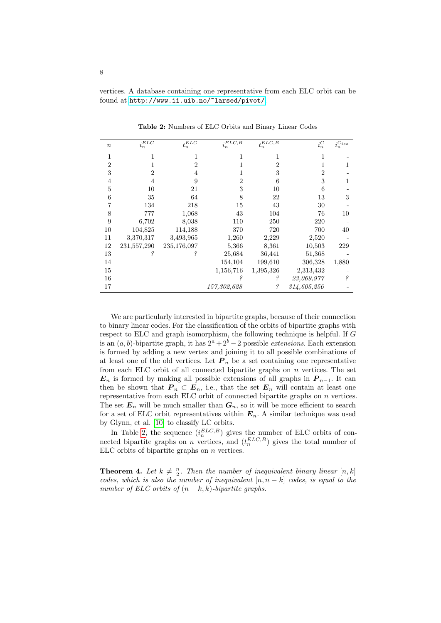<span id="page-7-0"></span>vertices. A database containing one representative from each ELC orbit can be found at http://www.ii.uib.no/~larsed/pivot/.

| $\,n$          | $\overline{i_n^{ELC}}$ | $\overline{t_n^{ELC}}$ | $i_n^{E\overline{LC},B}$ | $t_n^{\overline{ELC,B}}$ | $i_n^C$        | $i_n^{\overline{C_{iso}}}$ |
|----------------|------------------------|------------------------|--------------------------|--------------------------|----------------|----------------------------|
| 1              | 1                      | 1                      | 1                        | 1                        | 1              |                            |
| $\overline{2}$ |                        | $\overline{2}$         |                          | $\overline{2}$           |                |                            |
| 3              | $\overline{2}$         | 4                      |                          | 3                        | $\overline{2}$ |                            |
| $\overline{4}$ | 4                      | 9                      | 2                        | 6                        | 3              |                            |
| 5              | 10                     | 21                     | 3                        | 10                       | 6              |                            |
| 6              | 35                     | 64                     | 8                        | 22                       | 13             | 3                          |
|                | 134                    | 218                    | 15                       | 43                       | 30             |                            |
| 8              | 777                    | 1,068                  | 43                       | 104                      | 76             | 10                         |
| 9              | 6,702                  | 8,038                  | 110                      | 250                      | 220            |                            |
| 10             | 104,825                | 114,188                | 370                      | 720                      | 700            | 40                         |
| 11             | 3,370,317              | 3,493,965              | 1,260                    | 2,229                    | 2,520          |                            |
| 12             | 231,557,290            | 235,176,097            | 5,366                    | 8,361                    | 10,503         | 229                        |
| 13             | Į                      | Į                      | 25,684                   | 36,441                   | 51,368         |                            |
| 14             |                        |                        | 154,104                  | 199,610                  | 306,328        | 1,880                      |
| 15             |                        |                        | 1,156,716                | 1,395,326                | 2,313,432      |                            |
| 16             |                        |                        | Į                        | Į                        | 23,069,977     | Ş                          |
| 17             |                        |                        | 157,302,628              | Į                        | 314,605,256    |                            |

Table 2: Numbers of ELC Orbits and Binary Linear Codes

We are particularly interested in bipartite graphs, because of their connection to binary linear codes. For the classification of the orbits of bipartite graphs with respect to ELC and graph isomorphism, the following technique is helpful. If G is an  $(a, b)$ -bipartite graph, it has  $2^a + 2^b - 2$  possible *extensions*. Each extension is formed by adding a new vertex and joining it to all possible combinations of at least one of the old vertices. Let  $P_n$  be a set containing one representative from each ELC orbit of all connected bipartite graphs on  $n$  vertices. The set  $E_n$  is formed by making all possible extensions of all graphs in  $P_{n-1}$ . It can then be shown that  $P_n \subset E_n$ , i.e., that the set  $E_n$  will contain at least one representative from each ELC orbit of connected bipartite graphs on  $n$  vertices. The set  $E_n$  will be much smaller than  $G_n$ , so it will be more efficient to search for a set of ELC orbit representatives within  $E_n$ . A similar technique was used by Glynn, et al. [10] to classify LC orbits.

In Table 2, the sequence  $(i_n^{ELC,B})$  gives the number of ELC orbits of connected bipartite graphs on n vertices, and  $(t_n^{ELC,B})$  gives the total number of ELC orbits of bipartite graphs on  $n$  vertices.

**Theorem 4.** Let  $k \neq \frac{n}{2}$ . Then the number of inequivalent binary linear [n, k] codes, which is also the number of inequivalent  $[n, n - k]$  codes, is equal to the number of ELC orbits of  $(n - k, k)$ -bipartite graphs.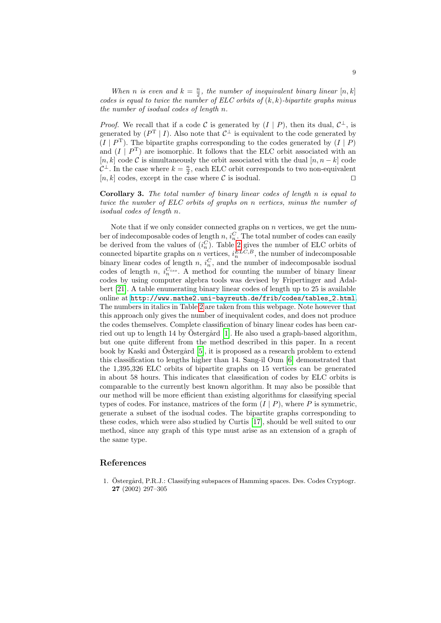When n is even and  $k = \frac{n}{2}$ , the number of inequivalent binary linear [n, k] codes is equal to twice the number of  $ELC$  orbits of  $(k, k)$ -bipartite graphs minus the number of isodual codes of length n.

*Proof.* We recall that if a code C is generated by  $(I | P)$ , then its dual,  $C^{\perp}$ , is generated by  $(P^T | I)$ . Also note that  $C^{\perp}$  is equivalent to the code generated by  $(I | P<sup>T</sup>)$ . The bipartite graphs corresponding to the codes generated by  $(I | P)$ and  $(I | P<sup>T</sup>)$  are isomorphic. It follows that the ELC orbit associated with an [n, k] code C is simultaneously the orbit associated with the dual  $[n, n-k]$  code  $\mathcal{C}^{\perp}$ . In the case where  $k = \frac{n}{2}$ , each ELC orbit corresponds to two non-equivalent  $[n, k]$  codes, except in the case where C is isodual.

Corollary 3. The t[ota](#page-7-0)l number of binary linear codes of length n is equal to twice the number of ELC orbits of graphs on n vertices, minus the number of isodual codes of length n.

Note that if we only consider connected graphs on  $n$  vertices, we get the number of indecomposable codes of length  $n, i_n^C$ . The total number of codes can easily be derived from the values of  $(i_n^C)$ . Table 2 gives the number of ELC orbits of [connected bipartite graphs on](http://www.mathe2.uni-bayreuth.de/frib/codes/tables_2.html) n vertices,  $i_n^{ELC,B}$ , the number of indecomposable binary li[nea](#page-7-0)r codes of length  $n, i_n^C$ , and the number of indecomposable isodual codes of length n,  $i_n^{C_{iso}}$ . A method for counting the number of binary linear codes by using computer algebra tools was devised by Fripertinger and Adalbert [21]. A table [en](#page-8-0)umerating binary linear codes of length up to 25 is available online at http://www.mathe2.uni-bayreuth.de/frib/codes/tables\_2.html. The num[be](#page-9-2)rs in italics in Table 2 are taken from this webpage. Note however that this approach only gives the number [of](#page-9-3) inequivalent codes, and does not produce the codes themselves. Complete classification of binary linear codes has been carried out up to length 14 by Ostergård [1]. He also used a graph-based algorithm, but one quite different from the method described in this paper. In a recent book by Kaski and Östergård [5], it is proposed as a research problem to extend this classification to lengths higher than 14. Sang-il Oum [6] demonstrated that the 1,395,326 ELC orbits of bipartite graphs on 15 vertices can be generated in about 58 hours. This i[ndic](#page-9-13)ates that classification of codes by ELC orbits is comparable to the currently best known algorithm. It may also be possible that our method will be more efficient than existing algorithms for classifying special types of codes. For instance, matrices of the form  $(I | P)$ , where P is symmetric, generate a subset of the isodual codes. The bipartite graphs corresponding to these codes, which were also studied by Curtis [17], should be well suited to our method, since any graph of this type must arise as an extension of a graph of the same type.

#### <span id="page-8-0"></span>References

1. Östergård, P.R.J.: Classifying subspaces of Hamming spaces. Des. Codes Cryptogr. 27 (2002) 297–305